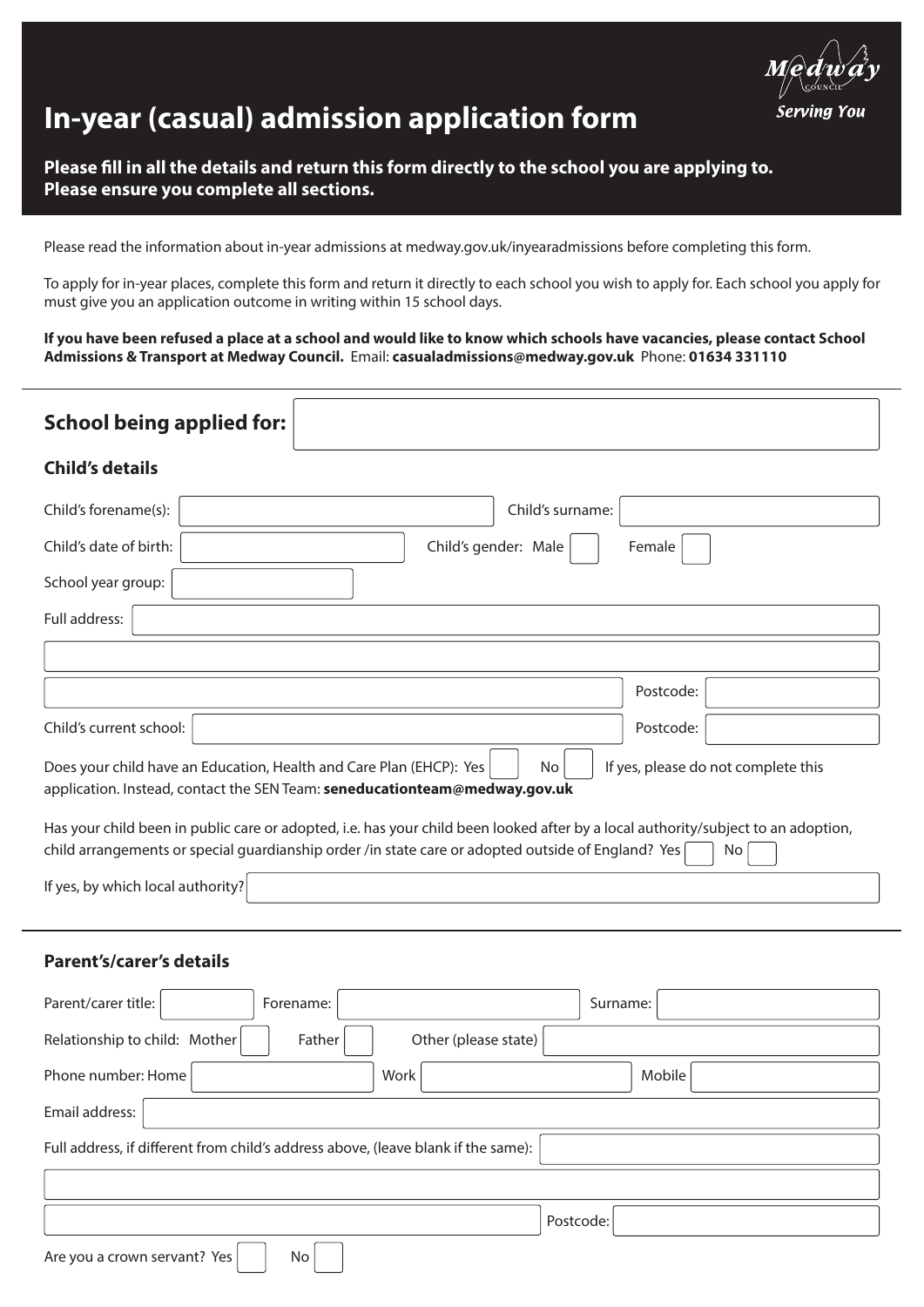

# **In-year (casual) admission application form**

## **Please fill in all the details and return this form directly to the school you are applying to. Please ensure you complete all sections.**

Please read the information about in-year admissions at medway.gov.uk/inyearadmissions before completing this form.

To apply for in-year places, complete this form and return it directly to each school you wish to apply for. Each school you apply for must give you an application outcome in writing within 15 school days.

**If you have been refused a place at a school and would like to know which schools have vacancies, please contact School Admissions & Transport at Medway Council.** Email: **casualadmissions@medway.gov.uk** Phone: **01634 331110** 

| <b>School being applied for:</b>                                                                                                                                                                                                        |           |  |
|-----------------------------------------------------------------------------------------------------------------------------------------------------------------------------------------------------------------------------------------|-----------|--|
| <b>Child's details</b>                                                                                                                                                                                                                  |           |  |
| Child's forename(s):<br>Child's surname:                                                                                                                                                                                                |           |  |
| Child's gender: Male<br>Child's date of birth:                                                                                                                                                                                          | Female    |  |
| School year group:                                                                                                                                                                                                                      |           |  |
| Full address:                                                                                                                                                                                                                           |           |  |
|                                                                                                                                                                                                                                         |           |  |
|                                                                                                                                                                                                                                         | Postcode: |  |
| Child's current school:                                                                                                                                                                                                                 | Postcode: |  |
| If yes, please do not complete this<br>Does your child have an Education, Health and Care Plan (EHCP): Yes<br>N <sub>o</sub><br>application. Instead, contact the SEN Team: seneducationteam@medway.gov.uk                              |           |  |
| Has your child been in public care or adopted, i.e. has your child been looked after by a local authority/subject to an adoption,<br>child arrangements or special guardianship order /in state care or adopted outside of England? Yes | No        |  |
| If yes, by which local authority?                                                                                                                                                                                                       |           |  |
|                                                                                                                                                                                                                                         |           |  |

## **Parent's/carer's details**

| Parent/carer title:<br>Forename:                                                  | Surname:  |
|-----------------------------------------------------------------------------------|-----------|
| Relationship to child: Mother<br>Other (please state)<br>Father                   |           |
| Phone number: Home<br>Work                                                        | Mobile    |
| Email address:                                                                    |           |
| Full address, if different from child's address above, (leave blank if the same): |           |
|                                                                                   |           |
|                                                                                   | Postcode: |
| Are you a crown servant? Yes<br>No                                                |           |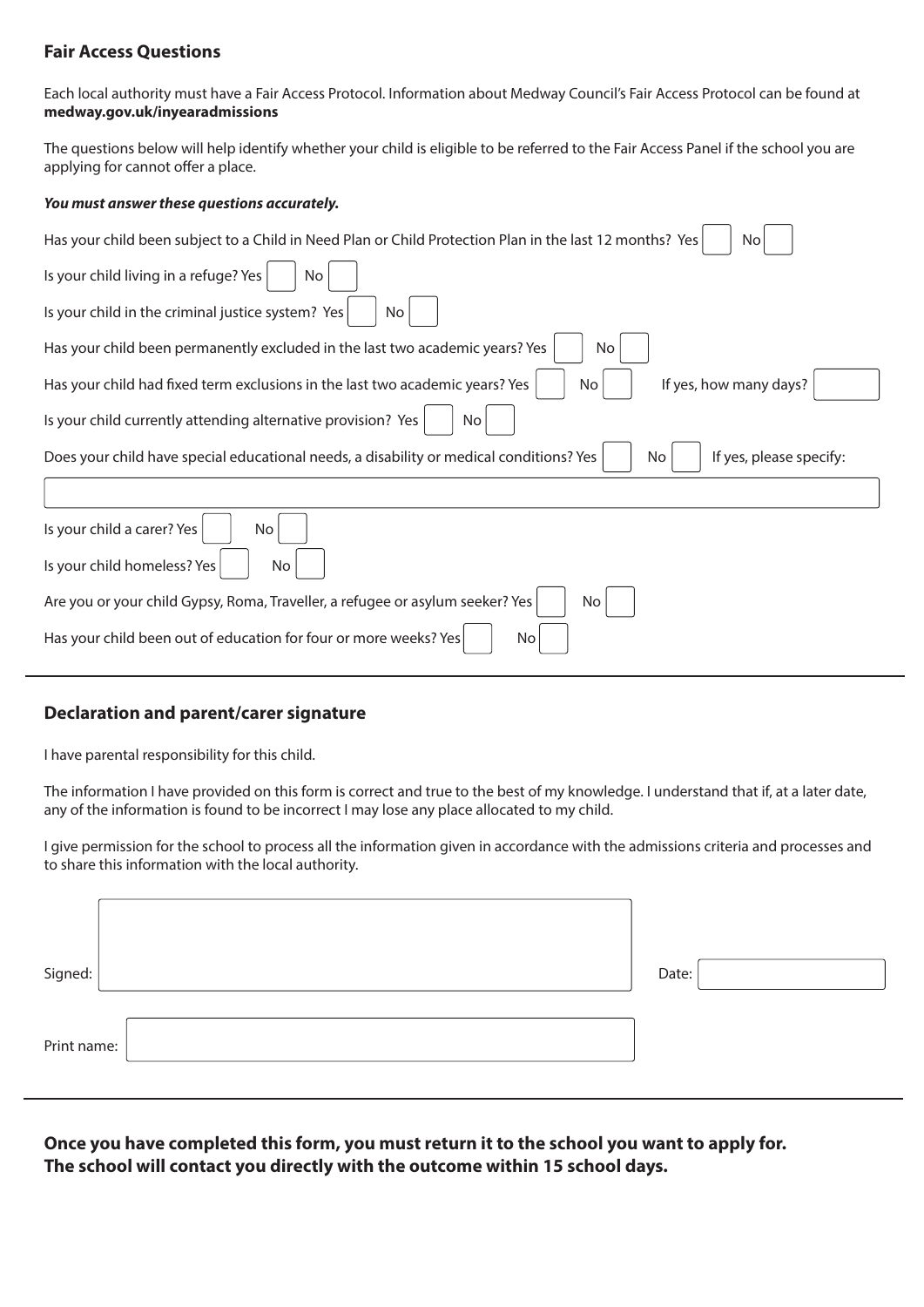### **Fair Access Questions**

Each local authority must have a Fair Access Protocol. Information about Medway Council's Fair Access Protocol can be found at **medway.gov.uk/inyearadmissions**

The questions below will help identify whether your child is eligible to be referred to the Fair Access Panel if the school you are applying for cannot offer a place.

#### *You must answer these questions accurately.*

| Has your child been subject to a Child in Need Plan or Child Protection Plan in the last 12 months? Yes<br>No.           |
|--------------------------------------------------------------------------------------------------------------------------|
| Is your child living in a refuge? Yes<br>No                                                                              |
| Is your child in the criminal justice system? Yes<br>No                                                                  |
| Has your child been permanently excluded in the last two academic years? Yes<br>No                                       |
| If yes, how many days?<br>Has your child had fixed term exclusions in the last two academic years? Yes<br>No.            |
| Is your child currently attending alternative provision? Yes<br>No.                                                      |
| Does your child have special educational needs, a disability or medical conditions? Yes<br>If yes, please specify:<br>No |
|                                                                                                                          |
| Is your child a carer? Yes<br>No.                                                                                        |
| Is your child homeless? Yes<br>No                                                                                        |
| Are you or your child Gypsy, Roma, Traveller, a refugee or asylum seeker? Yes<br>No                                      |
| Has your child been out of education for four or more weeks? Yes<br>No                                                   |

### **Declaration and parent/carer signature**

I have parental responsibility for this child.

The information I have provided on this form is correct and true to the best of my knowledge. I understand that if, at a later date, any of the information is found to be incorrect I may lose any place allocated to my child.

I give permission for the school to process all the information given in accordance with the admissions criteria and processes and to share this information with the local authority.

| Signed:     | Date: |
|-------------|-------|
| Print name: |       |

**Once you have completed this form, you must return it to the school you want to apply for. The school will contact you directly with the outcome within 15 school days.**